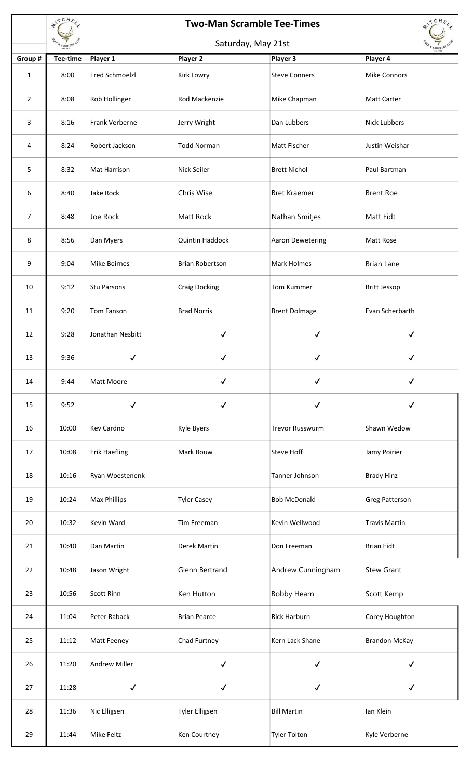|                | #ITCHEL<br><b>Two-Man Scramble Tee-Times</b> |                       |                        |                        |                      |  |
|----------------|----------------------------------------------|-----------------------|------------------------|------------------------|----------------------|--|
|                | COUNTRY                                      | Saturday, May 21st    |                        |                        |                      |  |
| Group #        | Tee-time                                     | Player 1              | Player 2               | Player 3               | Player 4             |  |
| $\mathbf{1}$   | 8:00                                         | <b>Fred Schmoelzl</b> | Kirk Lowry             | <b>Steve Conners</b>   | <b>Mike Connors</b>  |  |
| $\overline{2}$ | 8:08                                         | Rob Hollinger         | Rod Mackenzie          | Mike Chapman           | <b>Matt Carter</b>   |  |
| 3              | 8:16                                         | Frank Verberne        | Jerry Wright           | Dan Lubbers            | <b>Nick Lubbers</b>  |  |
| 4              | 8:24                                         | Robert Jackson        | <b>Todd Norman</b>     | Matt Fischer           | Justin Weishar       |  |
| 5              | 8:32                                         | Mat Harrison          | Nick Seiler            | <b>Brett Nichol</b>    | Paul Bartman         |  |
| 6              | 8:40                                         | Jake Rock             | Chris Wise             | <b>Bret Kraemer</b>    | <b>Brent Roe</b>     |  |
| 7              | 8:48                                         | Joe Rock              | Matt Rock              | Nathan Smitjes         | Matt Eidt            |  |
| 8              | 8:56                                         | Dan Myers             | Quintin Haddock        | Aaron Dewetering       | Matt Rose            |  |
| 9              | 9:04                                         | <b>Mike Beirnes</b>   | <b>Brian Robertson</b> | Mark Holmes            | <b>Brian Lane</b>    |  |
| 10             | 9:12                                         | <b>Stu Parsons</b>    | <b>Craig Docking</b>   | Tom Kummer             | <b>Britt Jessop</b>  |  |
| 11             | 9:20                                         | Tom Fanson            | <b>Brad Norris</b>     | <b>Brent Dolmage</b>   | Evan Scherbarth      |  |
| 12             | 9:28                                         | Jonathan Nesbitt      | $\checkmark$           | $\checkmark$           | $\checkmark$         |  |
| 13             | 9:36                                         | $\checkmark$          | $\checkmark$           | $\checkmark$           |                      |  |
| 14             | 9:44                                         | Matt Moore            | $\checkmark$           | $\checkmark$           | $\checkmark$         |  |
| 15             | 9:52                                         | $\checkmark$          | $\checkmark$           | $\checkmark$           | $\checkmark$         |  |
| 16             | 10:00                                        | <b>Kev Cardno</b>     | Kyle Byers             | <b>Trevor Russwurm</b> | Shawn Wedow          |  |
| 17             | 10:08                                        | <b>Erik Haefling</b>  | Mark Bouw              | Steve Hoff             | Jamy Poirier         |  |
| 18             | 10:16                                        | Ryan Woestenenk       |                        | Tanner Johnson         | <b>Brady Hinz</b>    |  |
| 19             | 10:24                                        | <b>Max Phillips</b>   | <b>Tyler Casey</b>     | <b>Bob McDonald</b>    | Greg Patterson       |  |
| 20             | 10:32                                        | Kevin Ward            | Tim Freeman            | Kevin Wellwood         | <b>Travis Martin</b> |  |
| 21             | 10:40                                        | Dan Martin            | Derek Martin           | Don Freeman            | <b>Brian Eidt</b>    |  |
| 22             | 10:48                                        | Jason Wright          | Glenn Bertrand         | Andrew Cunningham      | <b>Stew Grant</b>    |  |
| 23             | 10:56                                        | <b>Scott Rinn</b>     | Ken Hutton             | <b>Bobby Hearn</b>     | Scott Kemp           |  |
| 24             | 11:04                                        | Peter Raback          | <b>Brian Pearce</b>    | <b>Rick Harburn</b>    | Corey Houghton       |  |
| 25             | 11:12                                        | Matt Feeney           | Chad Furtney           | Kern Lack Shane        | <b>Brandon McKay</b> |  |
| 26             | 11:20                                        | <b>Andrew Miller</b>  | $\checkmark$           | $\checkmark$           | $\checkmark$         |  |
| 27             | 11:28                                        | $\checkmark$          | $\checkmark$           | $\checkmark$           | $\checkmark$         |  |
| 28             | 11:36                                        | Nic Elligsen          | <b>Tyler Elligsen</b>  | <b>Bill Martin</b>     | lan Klein            |  |
| 29             | 11:44                                        | Mike Feltz            | Ken Courtney           | <b>Tyler Tolton</b>    | Kyle Verberne        |  |